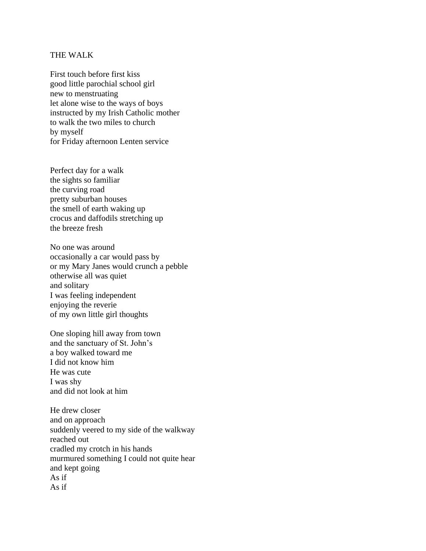## THE WALK

First touch before first kiss good little parochial school girl new to menstruating let alone wise to the ways of boys instructed by my Irish Catholic mother to walk the two miles to church by myself for Friday afternoon Lenten service

Perfect day for a walk the sights so familiar the curving road pretty suburban houses the smell of earth waking up crocus and daffodils stretching up the breeze fresh

No one was around occasionally a car would pass by or my Mary Janes would crunch a pebble otherwise all was quiet and solitary I was feeling independent enjoying the reverie of my own little girl thoughts

One sloping hill away from town and the sanctuary of St. John's a boy walked toward me I did not know him He was cute I was shy and did not look at him

He drew closer and on approach suddenly veered to my side of the walkway reached out cradled my crotch in his hands murmured something I could not quite hear and kept going As if As if